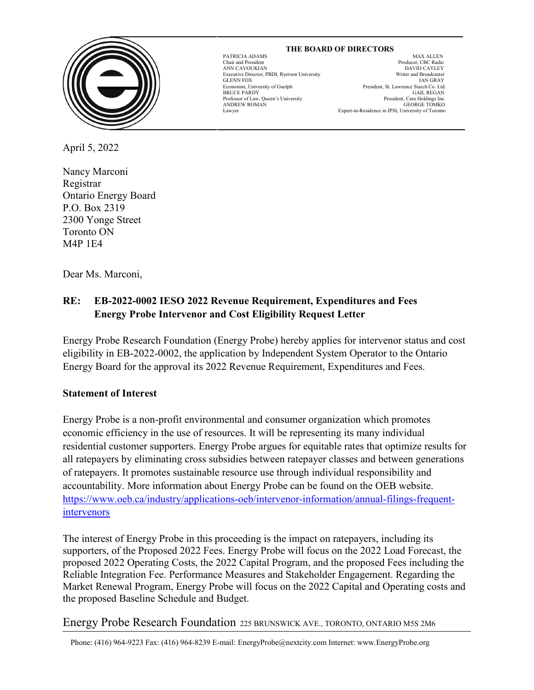

 **THE BOARD OF DIRECTORS** GLENN FOX<br>
Economist, University of Guelph ANDREW ROMAN GEORGE TOMKO Lawyer Expert-in-Residence in IPSI, University of Toronto

l

PATRICIA ADAMS MAX ALLEN MAX ALLEN Producer, CBC Radio Chair and President Producer, CBC Radio DAVID CAYLEY<br>Writer and Broadcaster Executive Director, PBDI, Ryerson University Writer and Broadcaster Economist, University of Guelph President, St. Lawrence Starch Co. Ltd.<br>
BRUCE PARDY GAIL REGAN GAIL REGAN<br>President, Cara Holdings Inc. Professor of Law, Queen's University President, Cara Holdings Inc.<br>ANDREW ROMAN GEORGE TOMKO

April 5, 2022

Nancy Marconi Registrar Ontario Energy Board P.O. Box 2319 2300 Yonge Street Toronto ON M4P 1E4

Dear Ms. Marconi,

# **RE: EB-2022-0002 IESO 2022 Revenue Requirement, Expenditures and Fees Energy Probe Intervenor and Cost Eligibility Request Letter**

Energy Probe Research Foundation (Energy Probe) hereby applies for intervenor status and cost eligibility in EB-2022-0002, the application by Independent System Operator to the Ontario Energy Board for the approval its 2022 Revenue Requirement, Expenditures and Fees.

# **Statement of Interest**

Energy Probe is a non-profit environmental and consumer organization which promotes economic efficiency in the use of resources. It will be representing its many individual residential customer supporters. Energy Probe argues for equitable rates that optimize results for all ratepayers by eliminating cross subsidies between ratepayer classes and between generations of ratepayers. It promotes sustainable resource use through individual responsibility and accountability. More information about Energy Probe can be found on the OEB website. [https://www.oeb.ca/industry/applications-oeb/intervenor-information/annual-filings-frequent](https://www.oeb.ca/industry/applications-oeb/intervenor-information/annual-filings-frequent-intervenors)[intervenors](https://www.oeb.ca/industry/applications-oeb/intervenor-information/annual-filings-frequent-intervenors)

The interest of Energy Probe in this proceeding is the impact on ratepayers, including its supporters, of the Proposed 2022 Fees. Energy Probe will focus on the 2022 Load Forecast, the proposed 2022 Operating Costs, the 2022 Capital Program, and the proposed Fees including the Reliable Integration Fee. Performance Measures and Stakeholder Engagement. Regarding the Market Renewal Program, Energy Probe will focus on the 2022 Capital and Operating costs and the proposed Baseline Schedule and Budget.

Energy Probe Research Foundation 225 BRUNSWICK AVE., TORONTO, ONTARIO M5S 2M6